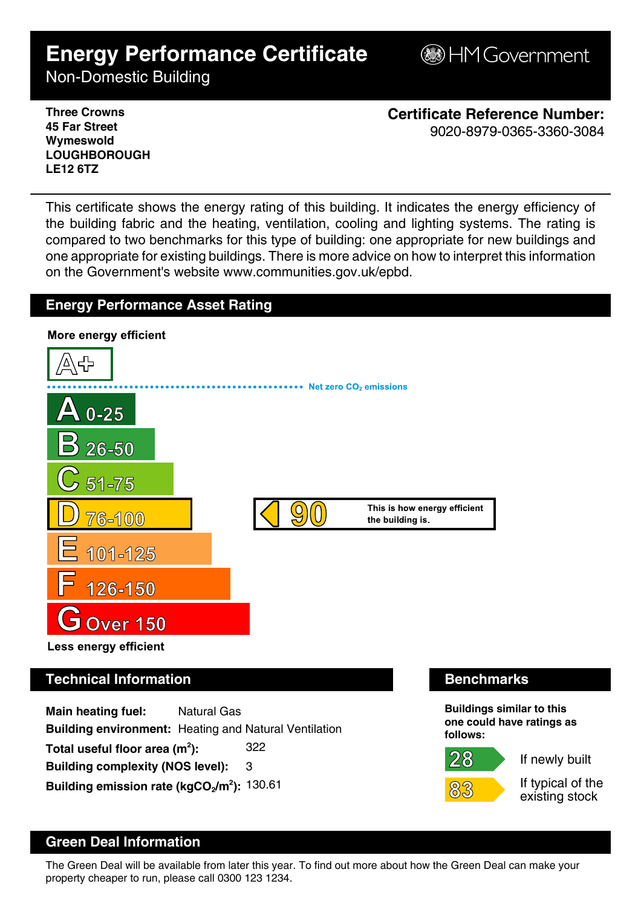# **Energy Performance Certificate**

**B**HM Government

Non-Domestic Building

**Three Crowns 45 Far Street Wymeswold LOUGHBOROUGH LE12 6TZ**

**Certificate Reference Number:** 9020-8979-0365-3360-3084

This certificate shows the energy rating of this building. It indicates the energy efficiency of the building fabric and the heating, ventilation, cooling and lighting systems. The rating is compared to two benchmarks for this type of building: one appropriate for new buildings and one appropriate for existing buildings. There is more advice on how to interpret this information on the Government's website www.communities.gov.uk/epbd.

## **Energy Performance Asset Rating**



**Main heating fuel:** Natural Gas **Building environment:** Heating and Natural Ventilation Total useful floor area (m<sup>2</sup>): **):** 322 **Building complexity (NOS level):** 3 **Building emission rate (kgCO2/m<sup>2</sup> ):** 130.61

 $28 \,$ 

**Buildings similar to this one could have ratings as follows:**

If newly built

If typical of the existing stock

# **Green Deal Information**

The Green Deal will be available from later this year. To find out more about how the Green Deal can make your property cheaper to run, please call 0300 123 1234.